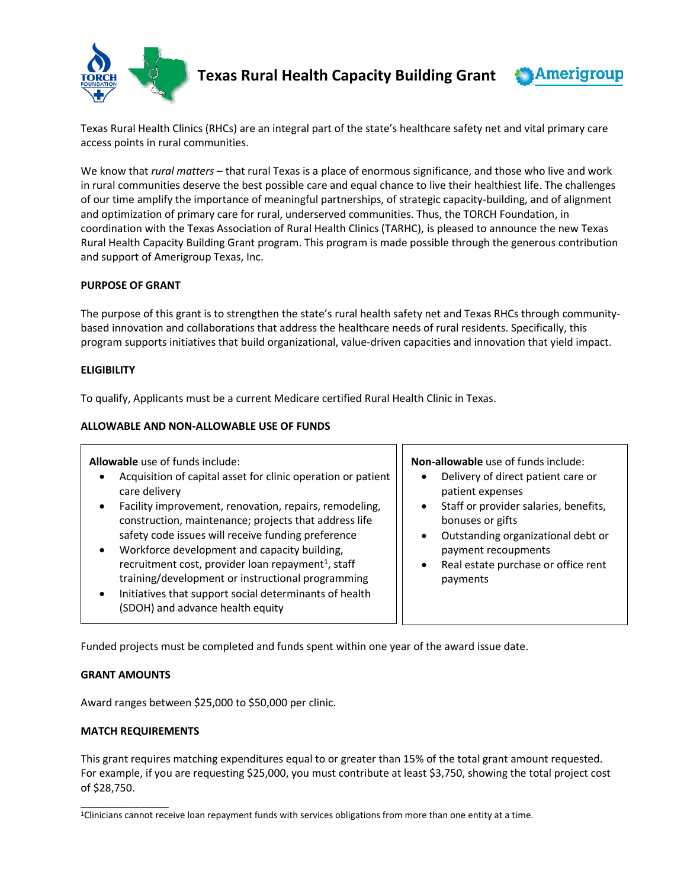

 **Texas Rural Health Capacity Building Grant**



Texas Rural Health Clinics (RHCs) are an integral part of the state's healthcare safety net and vital primary care access points in rural communities.

We know that *rural matters* – that rural Texas is a place of enormous significance, and those who live and work in rural communities deserve the best possible care and equal chance to live their healthiest life. The challenges of our time amplify the importance of meaningful partnerships, of strategic capacity-building, and of alignment and optimization of primary care for rural, underserved communities. Thus, the TORCH Foundation, in coordination with the Texas Association of Rural Health Clinics (TARHC), is pleased to announce the new Texas Rural Health Capacity Building Grant program. This program is made possible through the generous contribution and support of Amerigroup Texas, Inc.

## **PURPOSE OF GRANT**

The purpose of this grant is to strengthen the state's rural health safety net and Texas RHCs through communitybased innovation and collaborations that address the healthcare needs of rural residents. Specifically, this program supports initiatives that build organizational, value-driven capacities and innovation that yield impact.

## **ELIGIBILITY**

To qualify, Applicants must be a current Medicare certified Rural Health Clinic in Texas.

## **ALLOWABLE AND NON-ALLOWABLE USE OF FUNDS**

| Allowable use of funds include:<br>Acquisition of capital asset for clinic operation or patient<br>care delivery<br>Facility improvement, renovation, repairs, remodeling,<br>$\bullet$<br>construction, maintenance; projects that address life<br>safety code issues will receive funding preference<br>Workforce development and capacity building,<br>$\bullet$<br>recruitment cost, provider loan repayment <sup>1</sup> , staff<br>training/development or instructional programming<br>Initiatives that support social determinants of health<br>$\bullet$<br>(SDOH) and advance health equity | Non-allowable use of funds include:<br>Delivery of direct patient care or<br>patient expenses<br>Staff or provider salaries, benefits,<br>bonuses or gifts<br>Outstanding organizational debt or<br>payment recoupments<br>Real estate purchase or office rent<br>payments |
|-------------------------------------------------------------------------------------------------------------------------------------------------------------------------------------------------------------------------------------------------------------------------------------------------------------------------------------------------------------------------------------------------------------------------------------------------------------------------------------------------------------------------------------------------------------------------------------------------------|----------------------------------------------------------------------------------------------------------------------------------------------------------------------------------------------------------------------------------------------------------------------------|

Funded projects must be completed and funds spent within one year of the award issue date.

## **GRANT AMOUNTS**

\_\_\_\_\_\_\_\_\_\_\_\_\_\_\_

Award ranges between \$25,000 to \$50,000 per clinic.

## **MATCH REQUIREMENTS**

This grant requires matching expenditures equal to or greater than 15% of the total grant amount requested. For example, if you are requesting \$25,000, you must contribute at least \$3,750, showing the total project cost of \$28,750.

<sup>&</sup>lt;sup>1</sup>Clinicians cannot receive loan repayment funds with services obligations from more than one entity at a time.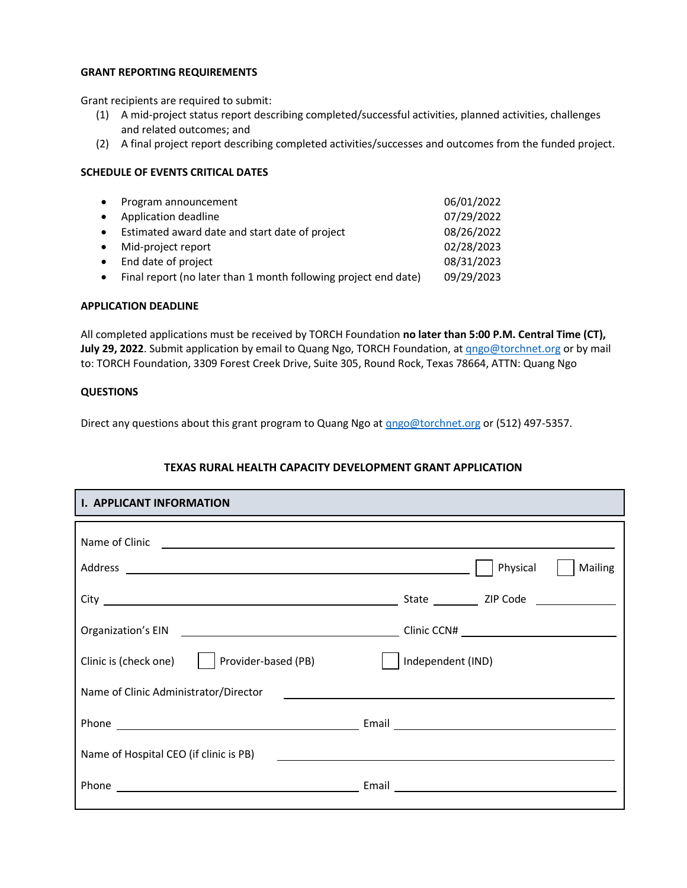#### **GRANT REPORTING REQUIREMENTS**

Grant recipients are required to submit:

- (1) A mid-project status report describing completed/successful activities, planned activities, challenges and related outcomes; and
- (2) A final project report describing completed activities/successes and outcomes from the funded project.

## **SCHEDULE OF EVENTS CRITICAL DATES**

| $\bullet$ | Program announcement                                            | 06/01/2022 |
|-----------|-----------------------------------------------------------------|------------|
| $\bullet$ | Application deadline                                            | 07/29/2022 |
| $\bullet$ | Estimated award date and start date of project                  | 08/26/2022 |
| $\bullet$ | Mid-project report                                              | 02/28/2023 |
| $\bullet$ | End date of project                                             | 08/31/2023 |
| $\bullet$ | Final report (no later than 1 month following project end date) | 09/29/2023 |
|           |                                                                 |            |

#### **APPLICATION DEADLINE**

All completed applications must be received by TORCH Foundation **no later than 5:00 P.M. Central Time (CT), July 29, 2022**. Submit application by email to Quang Ngo, TORCH Foundation, at [qngo@torchnet.org](mailto:qngo@torchnet.org) or by mail to: TORCH Foundation, 3309 Forest Creek Drive, Suite 305, Round Rock, Texas 78664, ATTN: Quang Ngo

## **QUESTIONS**

Direct any questions about this grant program to Quang Ngo at **qngo@torchnet.org** or (512) 497-5357.

# **TEXAS RURAL HEALTH CAPACITY DEVELOPMENT GRANT APPLICATION**

| <b>I. APPLICANT INFORMATION</b>               |                     |  |  |
|-----------------------------------------------|---------------------|--|--|
|                                               |                     |  |  |
|                                               | Physical<br>Mailing |  |  |
|                                               |                     |  |  |
|                                               |                     |  |  |
| Clinic is (check one)     Provider-based (PB) | Independent (IND)   |  |  |
| Name of Clinic Administrator/Director         |                     |  |  |
|                                               |                     |  |  |
| Name of Hospital CEO (if clinic is PB)        |                     |  |  |
|                                               | Email               |  |  |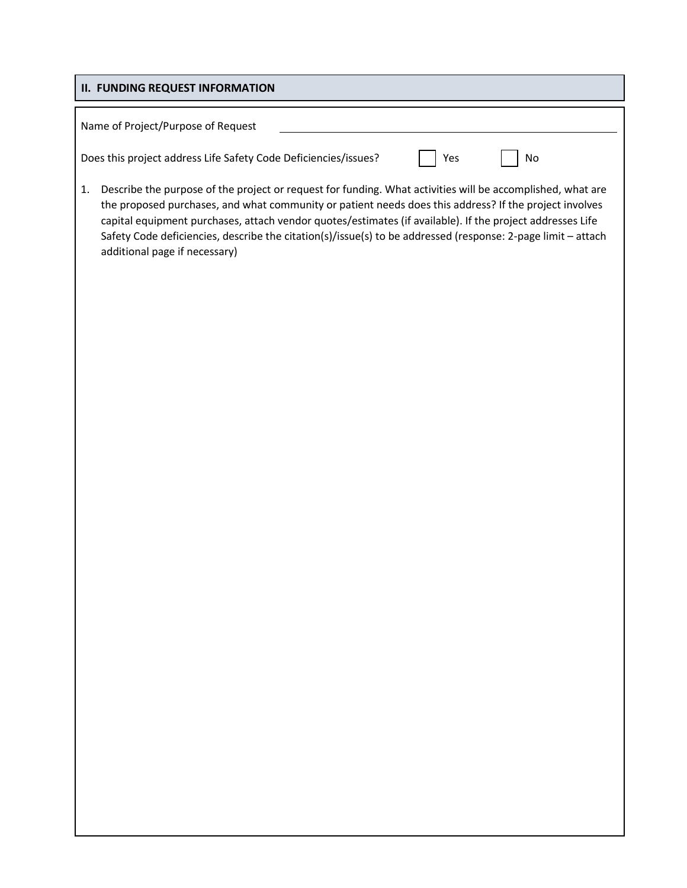# **II. FUNDING REQUEST INFORMATION**

| Name of Project/Purpose of Request                              |           |
|-----------------------------------------------------------------|-----------|
| Does this project address Life Safety Code Deficiencies/issues? | No<br>Yes |

1. Describe the purpose of the project or request for funding. What activities will be accomplished, what are the proposed purchases, and what community or patient needs does this address? If the project involves capital equipment purchases, attach vendor quotes/estimates (if available). If the project addresses Life Safety Code deficiencies, describe the citation(s)/issue(s) to be addressed (response: 2-page limit – attach additional page if necessary)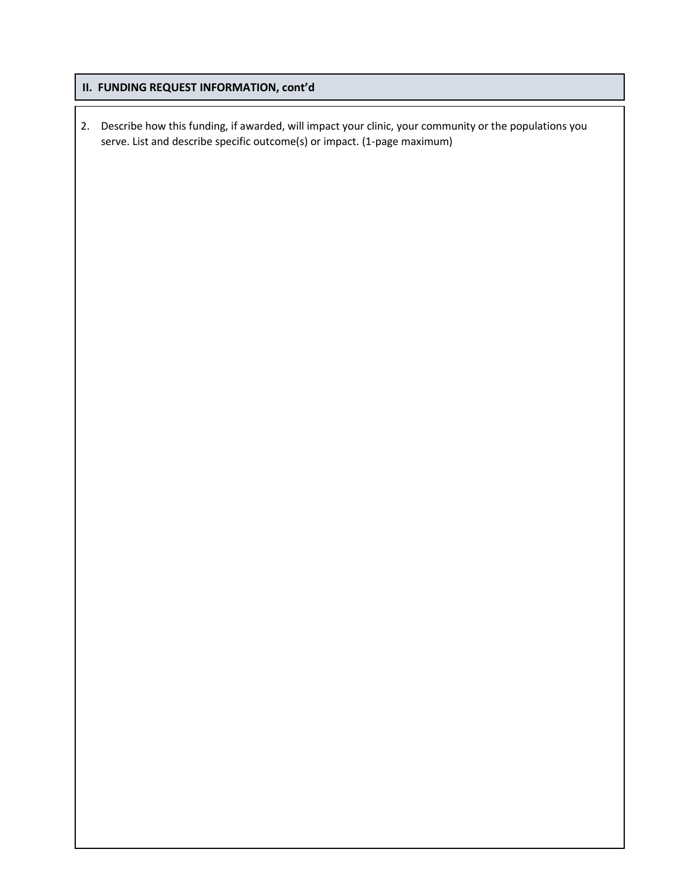# **II. FUNDING REQUEST INFORMATION, cont'd**

2. Describe how this funding, if awarded, will impact your clinic, your community or the populations you serve. List and describe specific outcome(s) or impact. (1-page maximum)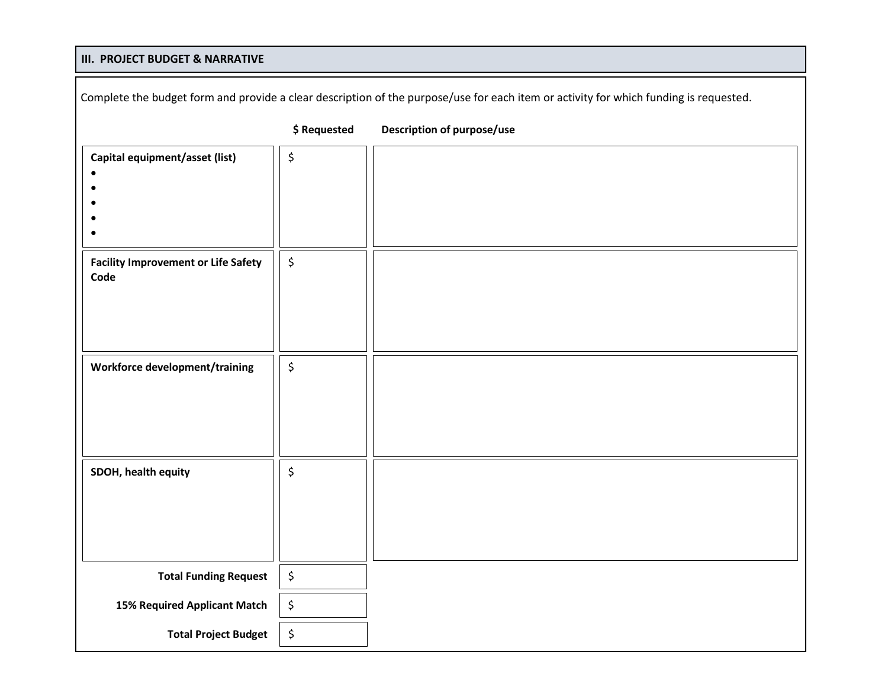# **III. PROJECT BUDGET & NARRATIVE**

| Complete the budget form and provide a clear description of the purpose/use for each item or activity for which funding is requested. |                                |                            |
|---------------------------------------------------------------------------------------------------------------------------------------|--------------------------------|----------------------------|
|                                                                                                                                       | \$ Requested                   | Description of purpose/use |
| Capital equipment/asset (list)<br>$\bullet$                                                                                           | \$                             |                            |
| <b>Facility Improvement or Life Safety</b><br>Code                                                                                    | $\boldsymbol{\dot{\varsigma}}$ |                            |
| Workforce development/training                                                                                                        | \$                             |                            |
| SDOH, health equity                                                                                                                   | \$                             |                            |
| <b>Total Funding Request</b>                                                                                                          | $\boldsymbol{\zeta}$           |                            |
| 15% Required Applicant Match                                                                                                          | \$                             |                            |
| <b>Total Project Budget</b>                                                                                                           | \$                             |                            |